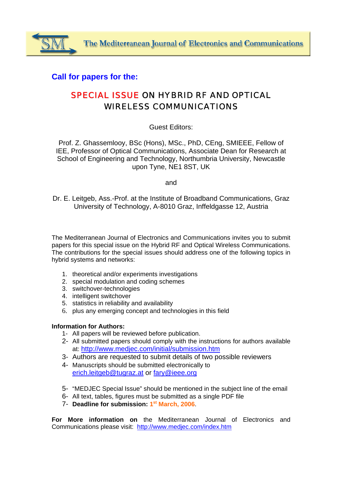## **Call for papers for the:**

# SPECIAL ISSUE ON HYBRID RF AND OPTICAL WIRELESS COMMUNICATIONS

### Guest Editors:

Prof. Z. Ghassemlooy, BSc (Hons), MSc., PhD, CEng, SMIEEE, Fellow of IEE, Professor of Optical Communications, Associate Dean for Research at School of Engineering and Technology, Northumbria University, Newcastle upon Tyne, NE1 8ST, UK

and

Dr. E. Leitgeb, Ass.-Prof. at the Institute of Broadband Communications, Graz University of Technology, A-8010 Graz, Inffeldgasse 12, Austria

The Mediterranean Journal of Electronics and Communications invites you to submit papers for this special issue on the Hybrid RF and Optical Wireless Communications. The contributions for the special issues should address one of the following topics in hybrid systems and networks:

- 1. theoretical and/or experiments investigations
- 2. special modulation and coding schemes
- 3. switchover-technologies
- 4. intelligent switchover
- 5. statistics in reliability and availability
- 6. plus any emerging concept and technologies in this field

#### **Information for Authors:**

- 1- All papers will be reviewed before publication.
- 2- All submitted papers should comply with the instructions for authors available at: http://www.medjec.com/initial/submission.htm
- 3- Authors are requested to submit details of two possible reviewers
- 4- Manuscripts should be submitted electronically to erich.leitgeb@tugraz.at or fary@ieee.org
- 5- "MEDJEC Special Issue" should be mentioned in the subject line of the email
- 6- All text, tables, figures must be submitted as a single PDF file
- 7- **Deadline for submission: 1st March, 2006**.

**For More information on** the Mediterranean Journal of Electronics and Communications please visit: http://www.medjec.com/index.htm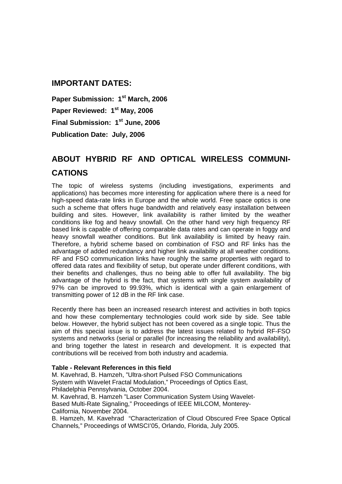## **IMPORTANT DATES:**

**Paper Submission: 1st March, 2006**  Paper Reviewed: 1<sup>st</sup> May, 2006 **Final Submission: 1st June, 2006 Publication Date: July, 2006** 

# **ABOUT HYBRID RF AND OPTICAL WIRELESS COMMUNI-CATIONS**

The topic of wireless systems (including investigations, experiments and applications) has becomes more interesting for application where there is a need for high-speed data-rate links in Europe and the whole world. Free space optics is one such a scheme that offers huge bandwidth and relatively easy installation between building and sites. However, link availability is rather limited by the weather conditions like fog and heavy snowfall. On the other hand very high frequency RF based link is capable of offering comparable data rates and can operate in foggy and heavy snowfall weather conditions. But link availability is limited by heavy rain. Therefore, a hybrid scheme based on combination of FSO and RF links has the advantage of added redundancy and higher link availability at all weather conditions. RF and FSO communication links have roughly the same properties with regard to offered data rates and flexibility of setup, but operate under different conditions, with their benefits and challenges, thus no being able to offer full availability. The big advantage of the hybrid is the fact, that systems with single system availability of 97% can be improved to 99.93%, which is identical with a gain enlargement of transmitting power of 12 dB in the RF link case.

Recently there has been an increased research interest and activities in both topics and how these complementary technologies could work side by side. See table below. However, the hybrid subject has not been covered as a single topic. Thus the aim of this special issue is to address the latest issues related to hybrid RF-FSO systems and networks (serial or parallel (for increasing the reliability and availability), and bring together the latest in research and development. It is expected that contributions will be received from both industry and academia.

#### **Table - Relevant References in this field**

M. Kavehrad, B. Hamzeh, "Ultra-short Pulsed FSO Communications System with Wavelet Fractal Modulation," Proceedings of Optics East, Philadelphia Pennsylvania, October 2004.

M. Kavehrad, B. Hamzeh "Laser Communication System Using Wavelet-Based Multi-Rate Signaling," Proceedings of IEEE MILCOM, Monterey-California, November 2004.

B. Hamzeh, M. Kavehrad "Characterization of Cloud Obscured Free Space Optical Channels*,*" Proceedings of WMSCI'05, Orlando, Florida, July 2005.